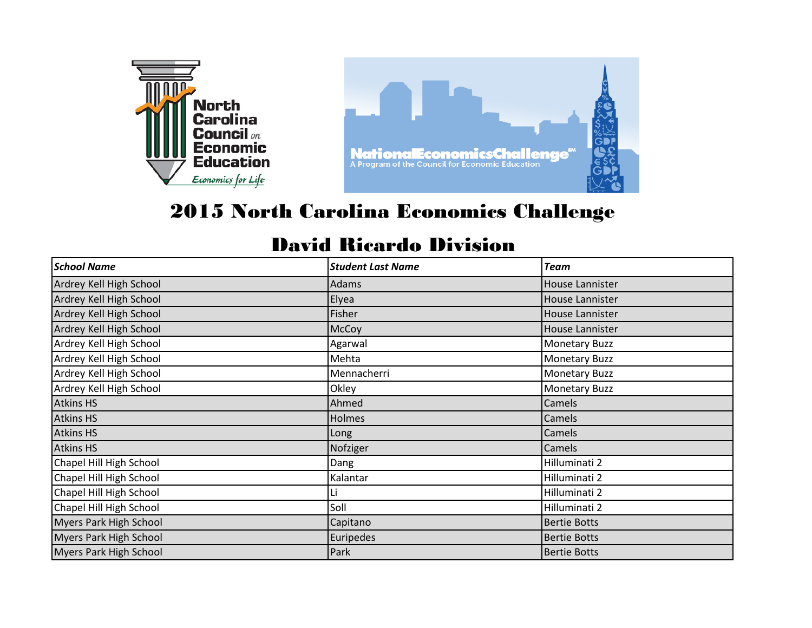

## 2015 North Carolina Economics Challenge

## David Ricardo Division

| <b>School Name</b>            | <b>Student Last Name</b> | <b>Team</b>            |
|-------------------------------|--------------------------|------------------------|
| Ardrey Kell High School       | Adams                    | House Lannister        |
| Ardrey Kell High School       | Elyea                    | <b>House Lannister</b> |
| Ardrey Kell High School       | Fisher                   | <b>House Lannister</b> |
| Ardrey Kell High School       | McCoy                    | House Lannister        |
| Ardrey Kell High School       | Agarwal                  | <b>Monetary Buzz</b>   |
| Ardrey Kell High School       | Mehta                    | <b>Monetary Buzz</b>   |
| Ardrey Kell High School       | Mennacherri              | <b>Monetary Buzz</b>   |
| Ardrey Kell High School       | Okley                    | <b>Monetary Buzz</b>   |
| <b>Atkins HS</b>              | Ahmed                    | Camels                 |
| <b>Atkins HS</b>              | <b>Holmes</b>            | Camels                 |
| <b>Atkins HS</b>              | Long                     | <b>Camels</b>          |
| <b>Atkins HS</b>              | Nofziger                 | Camels                 |
| Chapel Hill High School       | Dang                     | Hilluminati 2          |
| Chapel Hill High School       | Kalantar                 | Hilluminati 2          |
| Chapel Hill High School       |                          | Hilluminati 2          |
| Chapel Hill High School       | Soll                     | Hilluminati 2          |
| Myers Park High School        | Capitano                 | <b>Bertie Botts</b>    |
| <b>Myers Park High School</b> | Euripedes                | <b>Bertie Botts</b>    |
| <b>Myers Park High School</b> | Park                     | <b>Bertie Botts</b>    |